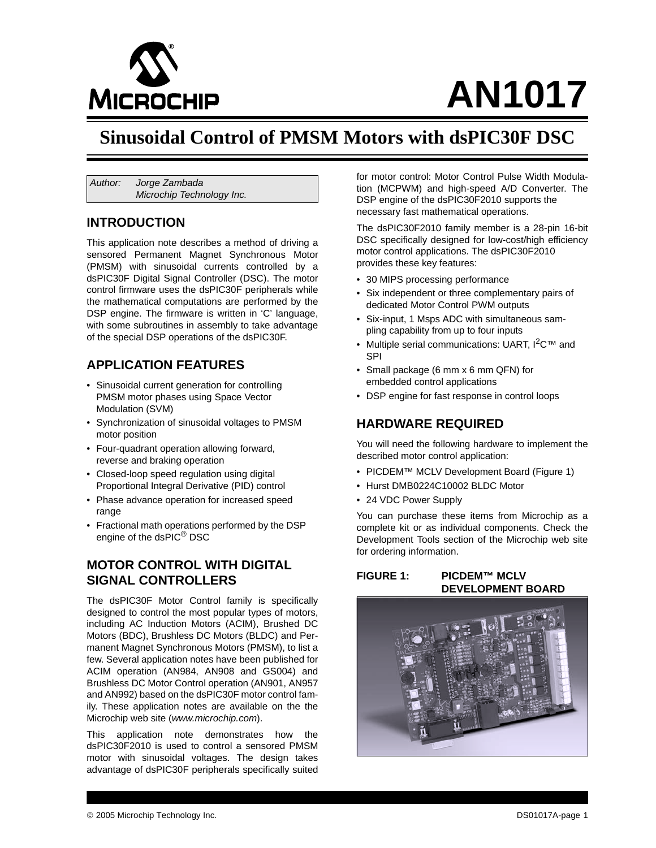

# **AN1017**

### **Sinusoidal Control of PMSM Motors with dsPIC30F DSC**

*Author: Jorge Zambada Microchip Technology Inc.*

### **INTRODUCTION**

This application note describes a method of driving a sensored Permanent Magnet Synchronous Motor (PMSM) with sinusoidal currents controlled by a dsPIC30F Digital Signal Controller (DSC). The motor control firmware uses the dsPIC30F peripherals while the mathematical computations are performed by the DSP engine. The firmware is written in 'C' language, with some subroutines in assembly to take advantage of the special DSP operations of the dsPIC30F.

### **APPLICATION FEATURES**

- Sinusoidal current generation for controlling PMSM motor phases using Space Vector Modulation (SVM)
- Synchronization of sinusoidal voltages to PMSM motor position
- Four-quadrant operation allowing forward, reverse and braking operation
- Closed-loop speed regulation using digital Proportional Integral Derivative (PID) control
- Phase advance operation for increased speed range
- Fractional math operations performed by the DSP engine of the dsPIC® DSC

### **MOTOR CONTROL WITH DIGITAL SIGNAL CONTROLLERS**

The dsPIC30F Motor Control family is specifically designed to control the most popular types of motors, including AC Induction Motors (ACIM), Brushed DC Motors (BDC), Brushless DC Motors (BLDC) and Permanent Magnet Synchronous Motors (PMSM), to list a few. Several application notes have been published for ACIM operation (AN984, AN908 and GS004) and Brushless DC Motor Control operation (AN901, AN957 and AN992) based on the dsPIC30F motor control family. These application notes are available on the the Microchip web site (*<www.microchip.com>*).

This application note demonstrates how the dsPIC30F2010 is used to control a sensored PMSM motor with sinusoidal voltages. The design takes advantage of dsPIC30F peripherals specifically suited

for motor control: Motor Control Pulse Width Modulation (MCPWM) and high-speed A/D Converter. The DSP engine of the dsPIC30F2010 supports the necessary fast mathematical operations.

The dsPIC30F2010 family member is a 28-pin 16-bit DSC specifically designed for low-cost/high efficiency motor control applications. The dsPIC30F2010 provides these key features:

- 30 MIPS processing performance
- Six independent or three complementary pairs of dedicated Motor Control PWM outputs
- Six-input, 1 Msps ADC with simultaneous sampling capability from up to four inputs
- Multiple serial communications: UART, I<sup>2</sup>C™ and SPI
- Small package (6 mm x 6 mm QFN) for embedded control applications
- DSP engine for fast response in control loops

### **HARDWARE REQUIRED**

You will need the following hardware to implement the described motor control application:

- PICDEM™ MCLV Development Board (Figure 1)
- Hurst DMB0224C10002 BLDC Motor
- 24 VDC Power Supply

You can purchase these items from Microchip as a complete kit or as individual components. Check the Development Tools section of the Microchip web site for ordering information.

### **FIGURE 1: PICDEM™ MCLV DEVELOPMENT BOARD**

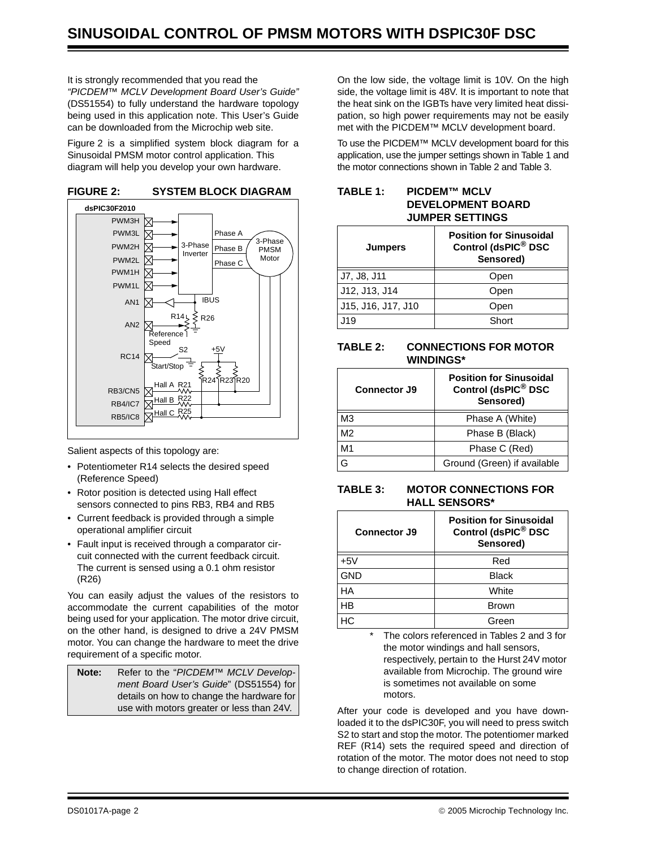It is strongly recommended that you read the *"PICDEM™ MCLV Development Board User's Guide"* (DS51554) to fully understand the hardware topology being used in this application note. This User's Guide can be downloaded from the Microchip web site.

[Figure 2](#page-1-0) is a simplified system block diagram for a Sinusoidal PMSM motor control application. This diagram will help you develop your own hardware.



<span id="page-1-0"></span>

Salient aspects of this topology are:

- Potentiometer R14 selects the desired speed (Reference Speed)
- Rotor position is detected using Hall effect sensors connected to pins RB3, RB4 and RB5
- Current feedback is provided through a simple operational amplifier circuit
- Fault input is received through a comparator circuit connected with the current feedback circuit. The current is sensed using a 0.1 ohm resistor (R26)

You can easily adjust the values of the resistors to accommodate the current capabilities of the motor being used for your application. The motor drive circuit, on the other hand, is designed to drive a 24V PMSM motor. You can change the hardware to meet the drive requirement of a specific motor.

| Note: | Refer to the "PICDEM™ MCLV Develop-       |
|-------|-------------------------------------------|
|       | ment Board User's Guide" (DS51554) for    |
|       | details on how to change the hardware for |
|       | use with motors greater or less than 24V. |

On the low side, the voltage limit is 10V. On the high side, the voltage limit is 48V. It is important to note that the heat sink on the IGBTs have very limited heat dissipation, so high power requirements may not be easily met with the PICDEM™ MCLV development board.

To use the PICDEM™ MCLV development board for this application, use the jumper settings shown in [Table 1](#page-1-1) and the motor connections shown in [Table 2](#page-1-2) and [Table 3.](#page-1-3)

### <span id="page-1-1"></span>**TABLE 1: PICDEM™ MCLV DEVELOPMENT BOARD JUMPER SETTINGS**

| <b>Jumpers</b>     | <b>Position for Sinusoidal</b><br>Control (dsPIC <sup>®</sup> DSC<br>Sensored) |
|--------------------|--------------------------------------------------------------------------------|
| J7, J8, J11        | Open                                                                           |
| J12, J13, J14      | Open                                                                           |
| J15, J16, J17, J10 | Open                                                                           |
| .J19               | Short                                                                          |

### <span id="page-1-2"></span>**TABLE 2: CONNECTIONS FOR MOTOR WINDINGS\***

| <b>Connector J9</b> | <b>Position for Sinusoidal</b><br>Control (dsPIC <sup>®</sup> DSC<br>Sensored) |
|---------------------|--------------------------------------------------------------------------------|
| M3                  | Phase A (White)                                                                |
| M2                  | Phase B (Black)                                                                |
| M1                  | Phase C (Red)                                                                  |
| G                   | Ground (Green) if available                                                    |

### <span id="page-1-3"></span>**TABLE 3: MOTOR CONNECTIONS FOR HALL SENSORS\***

| Connector J9 | <b>Position for Sinusoidal</b><br>Control (dsPIC <sup>®</sup> DSC<br>Sensored) |
|--------------|--------------------------------------------------------------------------------|
| $+5V$        | Red                                                                            |
| <b>GND</b>   | <b>Black</b>                                                                   |
| НA           | White                                                                          |
| HB           | <b>Brown</b>                                                                   |
| НC           | Green                                                                          |

The colors referenced in Tables 2 and 3 for the motor windings and hall sensors, respectively, pertain to the Hurst 24V motor available from Microchip. The ground wire is sometimes not available on some motors.

After your code is developed and you have downloaded it to the dsPIC30F, you will need to press switch S2 to start and stop the motor. The potentiomer marked REF (R14) sets the required speed and direction of rotation of the motor. The motor does not need to stop to change direction of rotation.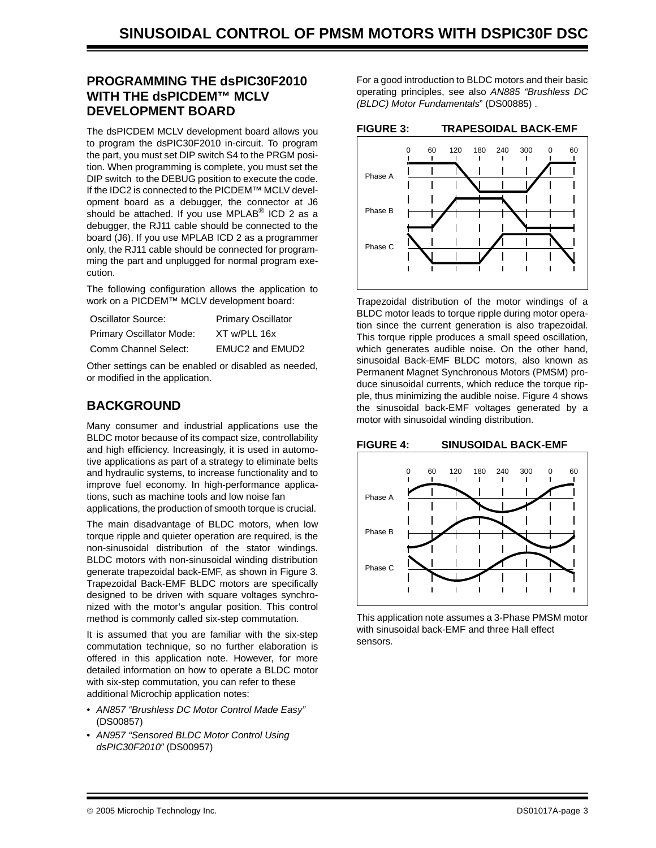### **PROGRAMMING THE dsPIC30F2010 WITH THE dsPICDEM™ MCLV DEVELOPMENT BOARD**

The dsPICDEM MCLV development board allows you to program the dsPIC30F2010 in-circuit. To program the part, you must set DIP switch S4 to the PRGM position. When programming is complete, you must set the DIP switch to the DEBUG position to execute the code. If the IDC2 is connected to the PICDEM™ MCLV development board as a debugger, the connector at J6 should be attached. If you use MPLAB<sup>®</sup> ICD 2 as a debugger, the RJ11 cable should be connected to the board (J6). If you use MPLAB ICD 2 as a programmer only, the RJ11 cable should be connected for programming the part and unplugged for normal program execution.

The following configuration allows the application to work on a PICDEM™ MCLV development board:

| Oscillator Source:       | <b>Primary Oscillator</b> |
|--------------------------|---------------------------|
| Primary Oscillator Mode: | XT w/PLL 16x              |
| Comm Channel Select:     | <b>EMUC2 and EMUD2</b>    |

Other settings can be enabled or disabled as needed, or modified in the application.

### **BACKGROUND**

Many consumer and industrial applications use the BLDC motor because of its compact size, controllability and high efficiency. Increasingly, it is used in automotive applications as part of a strategy to eliminate belts and hydraulic systems, to increase functionality and to improve fuel economy. In high-performance applications, such as machine tools and low noise fan applications, the production of smooth torque is crucial.

The main disadvantage of BLDC motors, when low torque ripple and quieter operation are required, is the non-sinusoidal distribution of the stator windings. BLDC motors with non-sinusoidal winding distribution generate trapezoidal back-EMF, as shown in [Figure 3](#page-2-0). Trapezoidal Back-EMF BLDC motors are specifically designed to be driven with square voltages synchronized with the motor's angular position. This control method is commonly called six-step commutation.

It is assumed that you are familiar with the six-step commutation technique, so no further elaboration is offered in this application note. However, for more detailed information on how to operate a BLDC motor with six-step commutation, you can refer to these additional Microchip application notes:

- *AN857 "Brushless DC Motor Control Made Easy"*  (DS00857)
- *AN957 "Sensored BLDC Motor Control Using dsPIC30F2010"* (DS00957)

For a good introduction to BLDC motors and their basic operating principles, see also *AN885 "Brushless DC (BLDC) Motor Fundamentals*" (DS00885) .

### <span id="page-2-0"></span>**FIGURE 3: TRAPESOIDAL BACK-EMF**



Trapezoidal distribution of the motor windings of a BLDC motor leads to torque ripple during motor operation since the current generation is also trapezoidal. This torque ripple produces a small speed oscillation, which generates audible noise. On the other hand, sinusoidal Back-EMF BLDC motors, also known as Permanent Magnet Synchronous Motors (PMSM) produce sinusoidal currents, which reduce the torque ripple, thus minimizing the audible noise. [Figure 4](#page-2-1) shows the sinusoidal back-EMF voltages generated by a motor with sinusoidal winding distribution.

### <span id="page-2-1"></span>**FIGURE 4: SINUSOIDAL BACK-EMF**



This application note assumes a 3-Phase PMSM motor with sinusoidal back-EMF and three Hall effect sensors.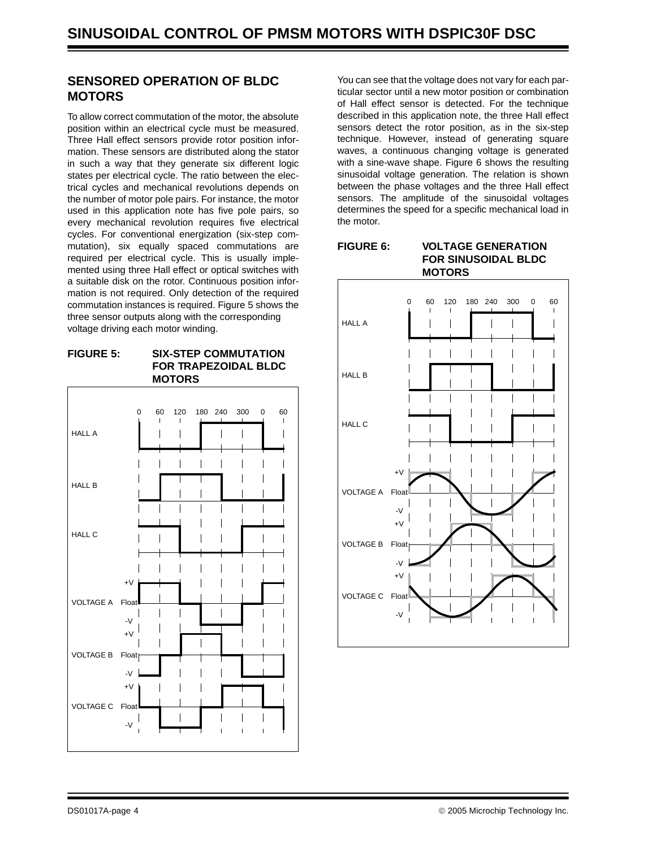### **SENSORED OPERATION OF BLDC MOTORS**

To allow correct commutation of the motor, the absolute position within an electrical cycle must be measured. Three Hall effect sensors provide rotor position information. These sensors are distributed along the stator in such a way that they generate six different logic states per electrical cycle. The ratio between the electrical cycles and mechanical revolutions depends on the number of motor pole pairs. For instance, the motor used in this application note has five pole pairs, so every mechanical revolution requires five electrical cycles. For conventional energization (six-step commutation), six equally spaced commutations are required per electrical cycle. This is usually implemented using three Hall effect or optical switches with a suitable disk on the rotor. Continuous position information is not required. Only detection of the required commutation instances is required. [Figure 5](#page-3-0) shows the three sensor outputs along with the corresponding voltage driving each motor winding.

### <span id="page-3-0"></span>**FIGURE 5: SIX-STEP COMMUTATION FOR TRAPEZOIDAL BLDC MOTORS**



You can see that the voltage does not vary for each particular sector until a new motor position or combination of Hall effect sensor is detected. For the technique described in this application note, the three Hall effect sensors detect the rotor position, as in the six-step technique. However, instead of generating square waves, a continuous changing voltage is generated with a sine-wave shape. Figure 6 shows the resulting sinusoidal voltage generation. The relation is shown between the phase voltages and the three Hall effect sensors. The amplitude of the sinusoidal voltages determines the speed for a specific mechanical load in the motor.

## **FIGURE 6: VOLTAGE GENERATION**

### **FOR SINUSOIDAL BLDC MOTORS**

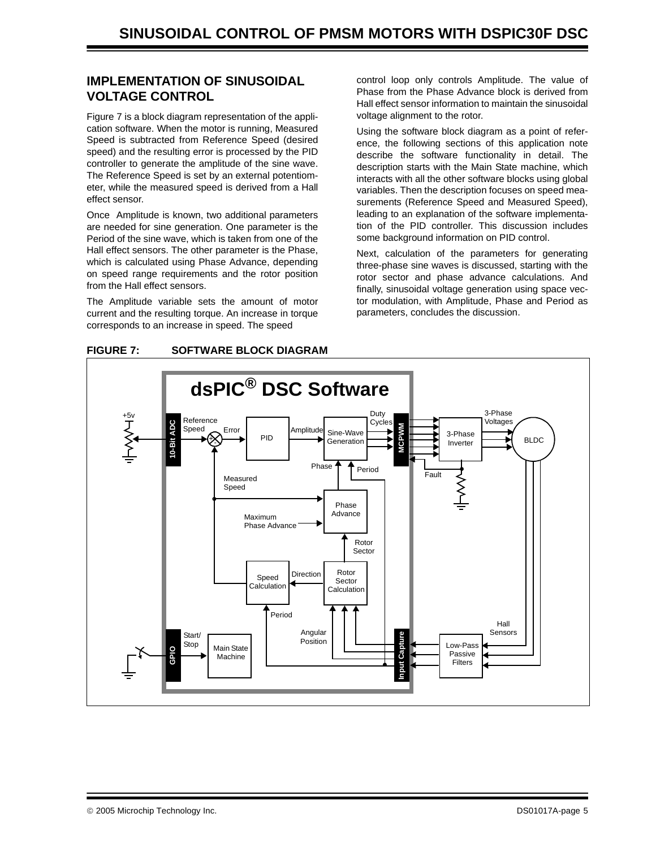### **IMPLEMENTATION OF SINUSOIDAL VOLTAGE CONTROL**

[Figure 7](#page-4-0) is a block diagram representation of the application software. When the motor is running, Measured Speed is subtracted from Reference Speed (desired speed) and the resulting error is processed by the PID controller to generate the amplitude of the sine wave. The Reference Speed is set by an external potentiometer, while the measured speed is derived from a Hall effect sensor.

Once Amplitude is known, two additional parameters are needed for sine generation. One parameter is the Period of the sine wave, which is taken from one of the Hall effect sensors. The other parameter is the Phase, which is calculated using Phase Advance, depending on speed range requirements and the rotor position from the Hall effect sensors.

The Amplitude variable sets the amount of motor current and the resulting torque. An increase in torque corresponds to an increase in speed. The speed

control loop only controls Amplitude. The value of Phase from the Phase Advance block is derived from Hall effect sensor information to maintain the sinusoidal voltage alignment to the rotor.

Using the software block diagram as a point of reference, the following sections of this application note describe the software functionality in detail. The description starts with the Main State machine, which interacts with all the other software blocks using global variables. Then the description focuses on speed measurements (Reference Speed and Measured Speed), leading to an explanation of the software implementation of the PID controller. This discussion includes some background information on PID control.

Next, calculation of the parameters for generating three-phase sine waves is discussed, starting with the rotor sector and phase advance calculations. And finally, sinusoidal voltage generation using space vector modulation, with Amplitude, Phase and Period as parameters, concludes the discussion.



#### <span id="page-4-0"></span>**FIGURE 7: SOFTWARE BLOCK DIAGRAM**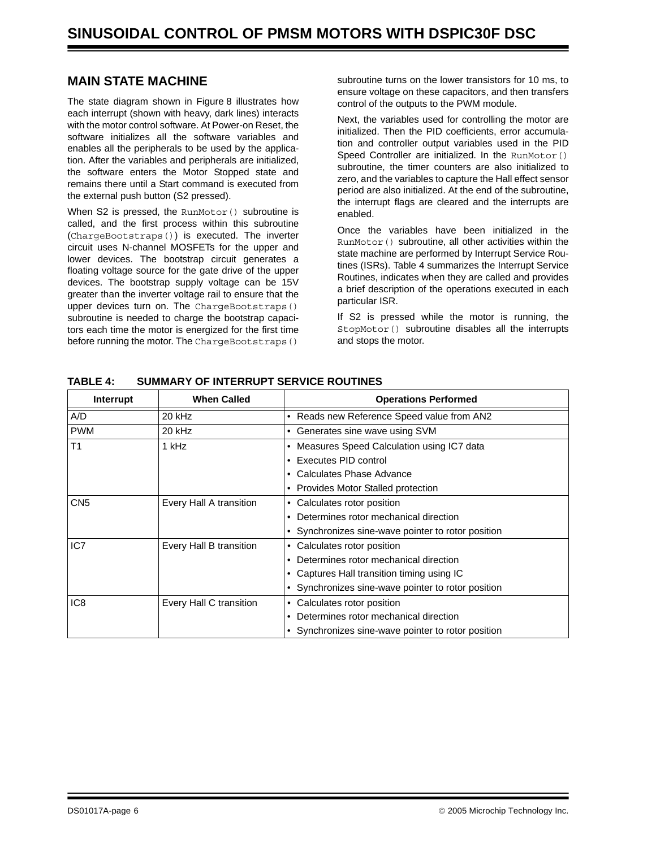### **MAIN STATE MACHINE**

The state diagram shown in [Figure 8](#page-6-0) illustrates how each interrupt (shown with heavy, dark lines) interacts with the motor control software. At Power-on Reset, the software initializes all the software variables and enables all the peripherals to be used by the application. After the variables and peripherals are initialized, the software enters the Motor Stopped state and remains there until a Start command is executed from the external push button (S2 pressed).

When S2 is pressed, the RunMotor () subroutine is called, and the first process within this subroutine (ChargeBootstraps()) is executed. The inverter circuit uses N-channel MOSFETs for the upper and lower devices. The bootstrap circuit generates a floating voltage source for the gate drive of the upper devices. The bootstrap supply voltage can be 15V greater than the inverter voltage rail to ensure that the upper devices turn on. The ChargeBootstraps() subroutine is needed to charge the bootstrap capacitors each time the motor is energized for the first time before running the motor. The ChargeBootstraps()

subroutine turns on the lower transistors for 10 ms, to ensure voltage on these capacitors, and then transfers control of the outputs to the PWM module.

Next, the variables used for controlling the motor are initialized. Then the PID coefficients, error accumulation and controller output variables used in the PID Speed Controller are initialized. In the RunMotor () subroutine, the timer counters are also initialized to zero, and the variables to capture the Hall effect sensor period are also initialized. At the end of the subroutine, the interrupt flags are cleared and the interrupts are enabled.

Once the variables have been initialized in the RunMotor() subroutine, all other activities within the state machine are performed by Interrupt Service Routines (ISRs). [Table 4](#page-5-0) summarizes the Interrupt Service Routines, indicates when they are called and provides a brief description of the operations executed in each particular ISR.

If S2 is pressed while the motor is running, the StopMotor() subroutine disables all the interrupts and stops the motor.

| Interrupt       | <b>When Called</b>      | <b>Operations Performed</b>                            |
|-----------------|-------------------------|--------------------------------------------------------|
| A/D             | 20 kHz                  | • Reads new Reference Speed value from AN2             |
| <b>PWM</b>      | 20 kHz                  | • Generates sine wave using SVM                        |
| T1              | 1 kHz                   | Measures Speed Calculation using IC7 data<br>$\bullet$ |
|                 |                         | Executes PID control                                   |
|                 |                         | Calculates Phase Advance                               |
|                 |                         | • Provides Motor Stalled protection                    |
| CN <sub>5</sub> | Every Hall A transition | Calculates rotor position<br>$\bullet$                 |
|                 |                         | Determines rotor mechanical direction                  |
|                 |                         | • Synchronizes sine-wave pointer to rotor position     |
| IC7             | Every Hall B transition | Calculates rotor position<br>$\bullet$                 |
|                 |                         | Determines rotor mechanical direction                  |
|                 |                         | • Captures Hall transition timing using IC             |
|                 |                         | • Synchronizes sine-wave pointer to rotor position     |
| IC <sub>8</sub> | Every Hall C transition | Calculates rotor position<br>$\bullet$                 |
|                 |                         | Determines rotor mechanical direction                  |
|                 |                         | • Synchronizes sine-wave pointer to rotor position     |

<span id="page-5-0"></span>**TABLE 4: SUMMARY OF INTERRUPT SERVICE ROUTINES**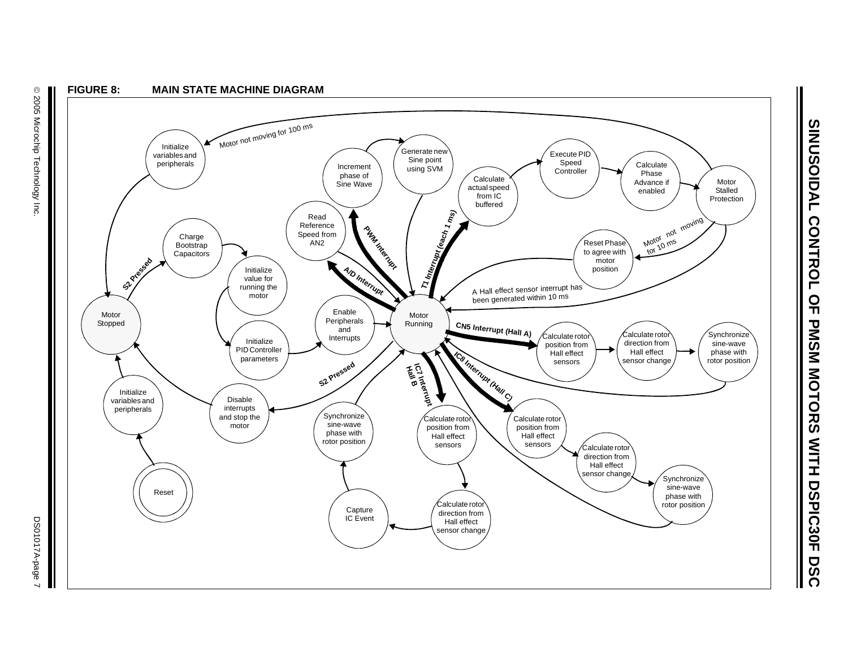<span id="page-6-0"></span>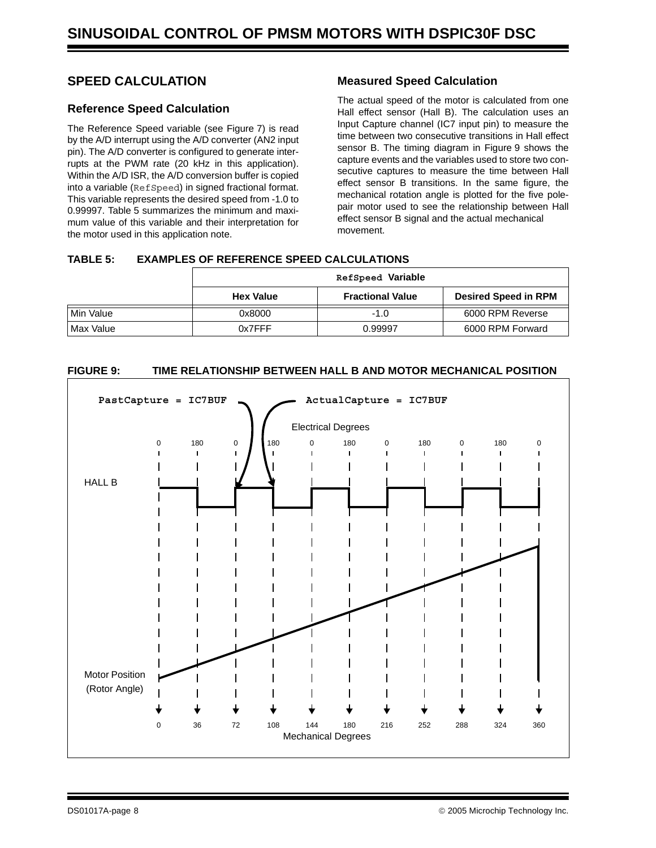### **SPEED CALCULATION**

### **Reference Speed Calculation**

The Reference Speed variable (see [Figure 7\)](#page-4-0) is read by the A/D interrupt using the A/D converter (AN2 input pin). The A/D converter is configured to generate interrupts at the PWM rate (20 kHz in this application). Within the A/D ISR, the A/D conversion buffer is copied into a variable (RefSpeed) in signed fractional format. This variable represents the desired speed from -1.0 to 0.99997. [Table 5](#page-7-0) summarizes the minimum and maximum value of this variable and their interpretation for the motor used in this application note.

### **Measured Speed Calculation**

The actual speed of the motor is calculated from one Hall effect sensor (Hall B). The calculation uses an Input Capture channel (IC7 input pin) to measure the time between two consecutive transitions in Hall effect sensor B. The timing diagram in [Figure 9](#page-7-1) shows the capture events and the variables used to store two consecutive captures to measure the time between Hall effect sensor B transitions. In the same figure, the mechanical rotation angle is plotted for the five polepair motor used to see the relationship between Hall effect sensor B signal and the actual mechanical movement.

### <span id="page-7-0"></span>**TABLE 5: EXAMPLES OF REFERENCE SPEED CALCULATIONS**

|           | RefSpeed Variable |                         |                             |
|-----------|-------------------|-------------------------|-----------------------------|
|           | <b>Hex Value</b>  | <b>Fractional Value</b> | <b>Desired Speed in RPM</b> |
| Min Value | 0x8000            | $-1.0$                  | 6000 RPM Reverse            |
| Max Value | 0x7FFF            | 0.99997                 | 6000 RPM Forward            |

### <span id="page-7-1"></span>**FIGURE 9: TIME RELATIONSHIP BETWEEN HALL B AND MOTOR MECHANICAL POSITION**

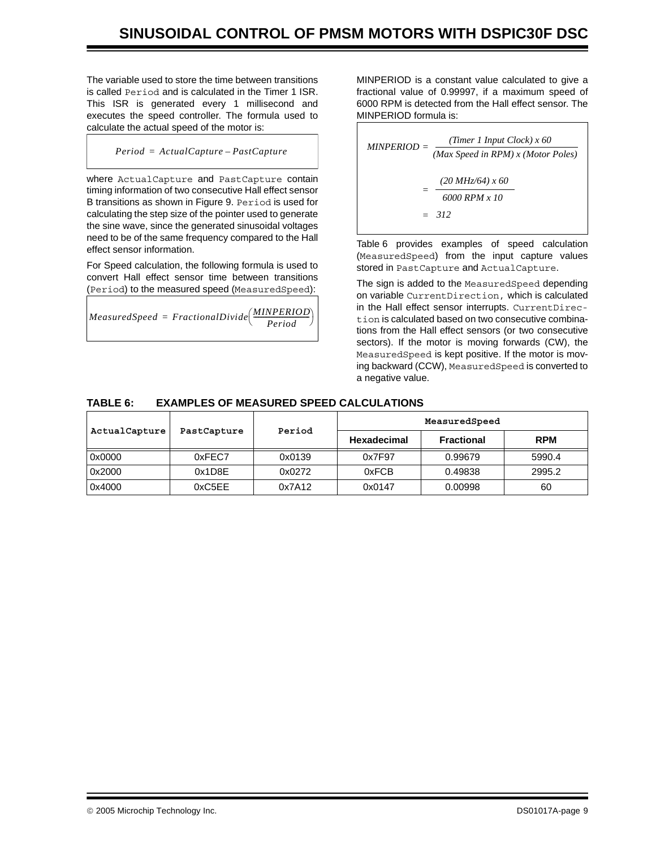The variable used to store the time between transitions is called Period and is calculated in the Timer 1 ISR. This ISR is generated every 1 millisecond and executes the speed controller. The formula used to calculate the actual speed of the motor is:

 $Period = ActualCapture - PastCapture$ 

where ActualCapture and PastCapture contain timing information of two consecutive Hall effect sensor B transitions as shown in [Figure 9.](#page-7-1) Period is used for calculating the step size of the pointer used to generate the sine wave, since the generated sinusoidal voltages need to be of the same frequency compared to the Hall effect sensor information.

For Speed calculation, the following formula is used to convert Hall effect sensor time between transitions (Period) to the measured speed (MeasuredSpeed):

 $\emph{Measured Speed} = FractionalDivide \bigg( \frac{\emph{MINPERIOD}}{\emph{Period}} \bigg)$ 

MINPERIOD is a constant value calculated to give a fractional value of 0.99997, if a maximum speed of 6000 RPM is detected from the Hall effect sensor. The MINPERIOD formula is:

*MINPERIOD* =  $\frac{(Timer\;I\;Input\;Clock)\;x\;60}{(Max\;Speed\;in\;RPM)\;x\;(Motor\;Poles)}$ *= 6000 RPM x 10 (20 MHz/64) x 60 = 312*

[Table 6](#page-8-0) provides examples of speed calculation (MeasuredSpeed) from the input capture values stored in PastCapture and ActualCapture.

The sign is added to the MeasuredSpeed depending on variable CurrentDirection, which is calculated in the Hall effect sensor interrupts. CurrentDirection is calculated based on two consecutive combinations from the Hall effect sensors (or two consecutive sectors). If the motor is moving forwards (CW), the MeasuredSpeed is kept positive. If the motor is moving backward (CCW), MeasuredSpeed is converted to a negative value.

### <span id="page-8-0"></span>**TABLE 6: EXAMPLES OF MEASURED SPEED CALCULATIONS**

| ActualCapture | PastCapture | Period | MeasuredSpeed      |                   |            |
|---------------|-------------|--------|--------------------|-------------------|------------|
|               |             |        | <b>Hexadecimal</b> | <b>Fractional</b> | <b>RPM</b> |
| 0x0000        | 0xFEC7      | 0x0139 | 0x7F97             | 0.99679           | 5990.4     |
| 0x2000        | 0x1D8E      | 0x0272 | 0xFCB              | 0.49838           | 2995.2     |
| 0x4000        | 0xC5EE      | 0x7A12 | 0x0147             | 0.00998           | 60         |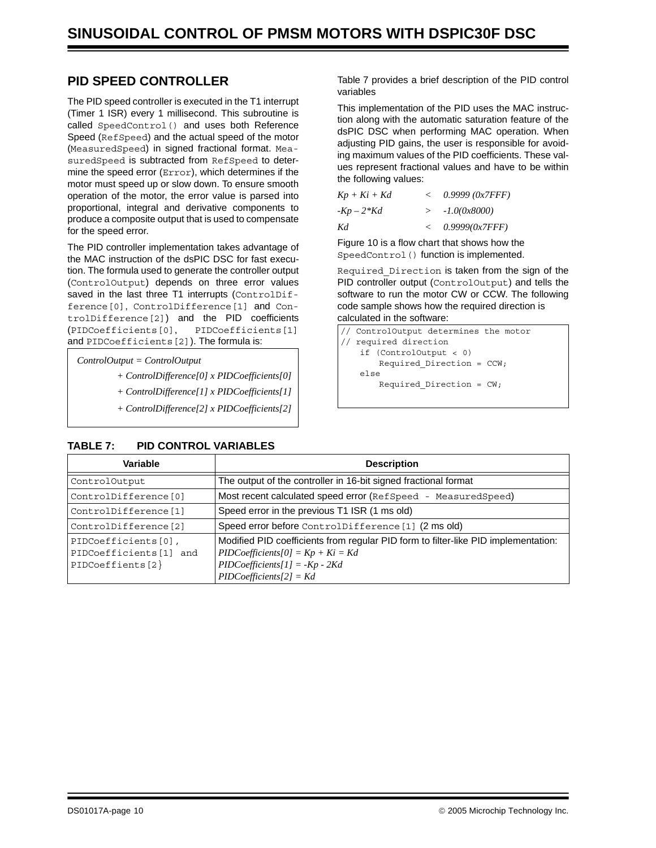### **PID SPEED CONTROLLER**

The PID speed controller is executed in the T1 interrupt (Timer 1 ISR) every 1 millisecond. This subroutine is called SpeedControl() and uses both Reference Speed (RefSpeed) and the actual speed of the motor (MeasuredSpeed) in signed fractional format. MeasuredSpeed is subtracted from RefSpeed to determine the speed error (Error), which determines if the motor must speed up or slow down. To ensure smooth operation of the motor, the error value is parsed into proportional, integral and derivative components to produce a composite output that is used to compensate for the speed error.

The PID controller implementation takes advantage of the MAC instruction of the dsPIC DSC for fast execution. The formula used to generate the controller output (ControlOutput) depends on three error values saved in the last three T1 interrupts (ControlDifference[0], ControlDifference[1] and ControlDifference[2]) and the PID coefficients (PIDCoefficients[0], PIDCoefficients[1] and PIDCoefficients[2]). The formula is:

*ControlOutput = ControlOutput* 

- *+ ControlDifference[0] x PIDCoefficients[0]*
- *+ ControlDifference[1] x PIDCoefficients[1]*
- *+ ControlDifference[2] x PIDCoefficients[2]*

<span id="page-9-0"></span>

| TABLE 7: |  | <b>PID CONTROL VARIABLES</b> |
|----------|--|------------------------------|
|          |  |                              |

[Table 7](#page-9-0) provides a brief description of the PID control variables

This implementation of the PID uses the MAC instruction along with the automatic saturation feature of the dsPIC DSC when performing MAC operation. When adjusting PID gains, the user is responsible for avoiding maximum values of the PID coefficients. These values represent fractional values and have to be within the following values:

| $Kp+Ki+Kd$ | $\lt$         | 0.9999 (0x7FFF) |
|------------|---------------|-----------------|
| $-Kp-2*Kd$ | $\rightarrow$ | $-1.0(0x8000)$  |
| Kd         | $\lt$         | 0.9999(0x7FFF)  |

[Figure 10](#page-10-0) is a flow chart that shows how the SpeedControl() function is implemented.

Required\_Direction is taken from the sign of the PID controller output (ControlOutput) and tells the software to run the motor CW or CCW. The following code sample shows how the required direction is calculated in the software:

```
// ControlOutput determines the motor
// required direction
   if (ControlOutput < 0)
       Required Direction = CCW;
   else
       Required_Direction = CW;
```

| Variable                                                           | <b>Description</b>                                                                                                                                                                          |
|--------------------------------------------------------------------|---------------------------------------------------------------------------------------------------------------------------------------------------------------------------------------------|
| ControlOutput                                                      | The output of the controller in 16-bit signed fractional format                                                                                                                             |
| ControlDifference[0]                                               | Most recent calculated speed error (RefSpeed - MeasuredSpeed)                                                                                                                               |
| ControlDifference[1]                                               | Speed error in the previous T1 ISR (1 ms old)                                                                                                                                               |
| ControlDifference[2]                                               | Speed error before ControlDifference [1] (2 ms old)                                                                                                                                         |
| PIDCoefficients[0],<br>PIDCoefficients[1] and<br>PIDCoeffients [2] | Modified PID coefficients from regular PID form to filter-like PID implementation:<br>$PIDCoefficients[0] = Kp + Ki = Kd$<br>$PIDCoefficients[1] = -Kp - 2Kd$<br>$PID Coefficients[2] = Kd$ |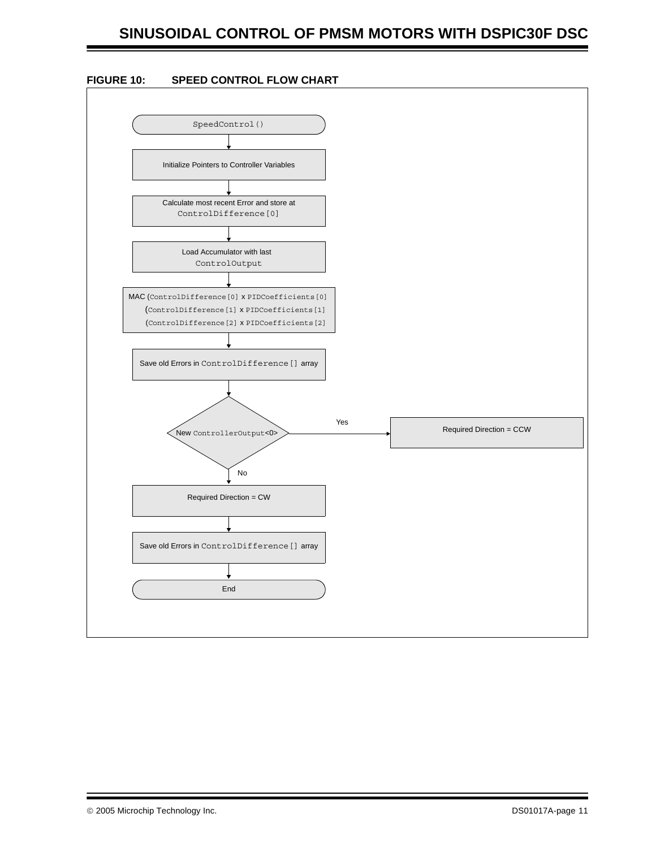### **SINUSOIDAL CONTROL OF PMSM MOTORS WITH DSPIC30F DSC**

<span id="page-10-0"></span>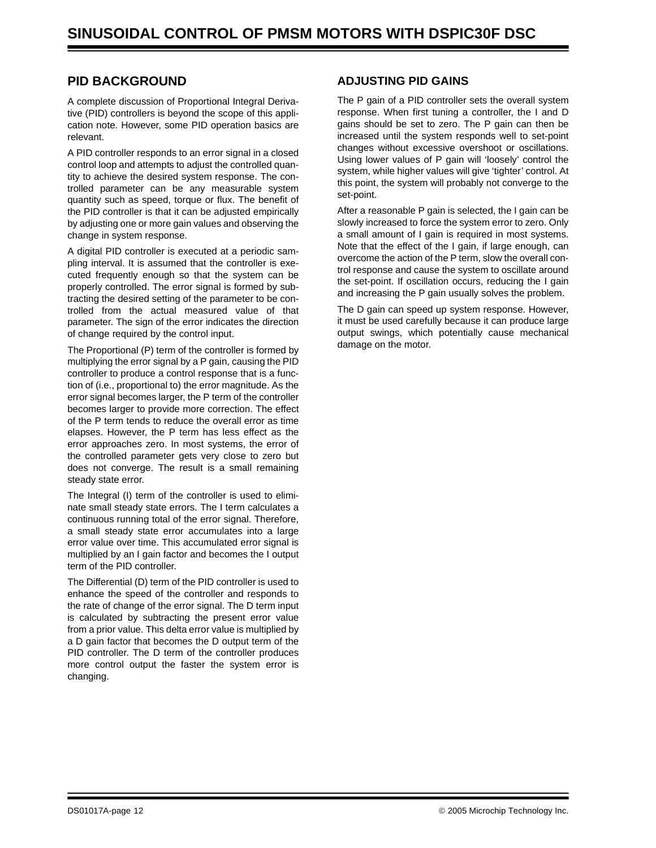### **PID BACKGROUND**

A complete discussion of Proportional Integral Derivative (PID) controllers is beyond the scope of this application note. However, some PID operation basics are relevant.

A PID controller responds to an error signal in a closed control loop and attempts to adjust the controlled quantity to achieve the desired system response. The controlled parameter can be any measurable system quantity such as speed, torque or flux. The benefit of the PID controller is that it can be adjusted empirically by adjusting one or more gain values and observing the change in system response.

A digital PID controller is executed at a periodic sampling interval. It is assumed that the controller is executed frequently enough so that the system can be properly controlled. The error signal is formed by subtracting the desired setting of the parameter to be controlled from the actual measured value of that parameter. The sign of the error indicates the direction of change required by the control input.

The Proportional (P) term of the controller is formed by multiplying the error signal by a P gain, causing the PID controller to produce a control response that is a function of (i.e., proportional to) the error magnitude. As the error signal becomes larger, the P term of the controller becomes larger to provide more correction. The effect of the P term tends to reduce the overall error as time elapses. However, the P term has less effect as the error approaches zero. In most systems, the error of the controlled parameter gets very close to zero but does not converge. The result is a small remaining steady state error.

The Integral (I) term of the controller is used to eliminate small steady state errors. The I term calculates a continuous running total of the error signal. Therefore, a small steady state error accumulates into a large error value over time. This accumulated error signal is multiplied by an I gain factor and becomes the I output term of the PID controller.

The Differential (D) term of the PID controller is used to enhance the speed of the controller and responds to the rate of change of the error signal. The D term input is calculated by subtracting the present error value from a prior value. This delta error value is multiplied by a D gain factor that becomes the D output term of the PID controller. The D term of the controller produces more control output the faster the system error is changing.

### **ADJUSTING PID GAINS**

The P gain of a PID controller sets the overall system response. When first tuning a controller, the I and D gains should be set to zero. The P gain can then be increased until the system responds well to set-point changes without excessive overshoot or oscillations. Using lower values of P gain will 'loosely' control the system, while higher values will give 'tighter' control. At this point, the system will probably not converge to the set-point.

After a reasonable P gain is selected, the I gain can be slowly increased to force the system error to zero. Only a small amount of I gain is required in most systems. Note that the effect of the I gain, if large enough, can overcome the action of the P term, slow the overall control response and cause the system to oscillate around the set-point. If oscillation occurs, reducing the I gain and increasing the P gain usually solves the problem.

The D gain can speed up system response. However, it must be used carefully because it can produce large output swings, which potentially cause mechanical damage on the motor.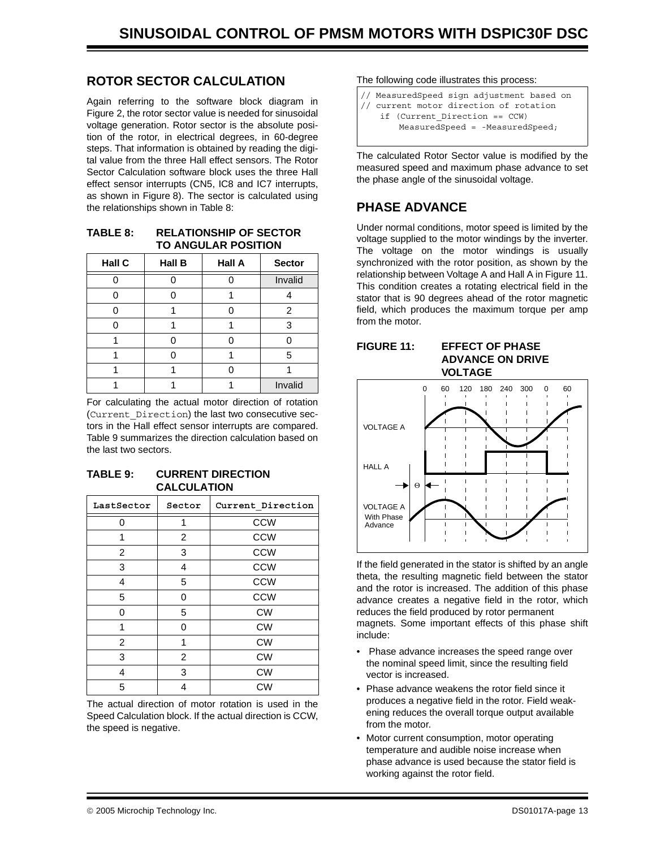### **ROTOR SECTOR CALCULATION**

Again referring to the software block diagram in [Figure 2](#page-1-0), the rotor sector value is needed for sinusoidal voltage generation. Rotor sector is the absolute position of the rotor, in electrical degrees, in 60-degree steps. That information is obtained by reading the digital value from the three Hall effect sensors. The Rotor Sector Calculation software block uses the three Hall effect sensor interrupts (CN5, IC8 and IC7 interrupts, as shown in [Figure 8](#page-6-0)). The sector is calculated using the relationships shown in [Table 8:](#page-12-0)

<span id="page-12-0"></span>

| TABLE 8: | <b>RELATIONSHIP OF SECTOR</b> |
|----------|-------------------------------|
|          | <b>TO ANGULAR POSITION</b>    |

| Hall C | <b>Hall B</b> | <b>Sector</b> |         |  |
|--------|---------------|---------------|---------|--|
|        |               |               | Invalid |  |
|        |               |               |         |  |
|        |               |               | 2       |  |
|        |               |               | 3       |  |
|        |               |               |         |  |
|        |               |               | 5       |  |
|        |               |               |         |  |
|        |               |               | Invalid |  |

For calculating the actual motor direction of rotation (Current\_Direction) the last two consecutive sectors in the Hall effect sensor interrupts are compared. [Table 9](#page-12-1) summarizes the direction calculation based on the last two sectors.

### <span id="page-12-1"></span>**TABLE 9: CURRENT DIRECTION CALCULATION**

| LastSector     | Sector         | Current Direction |  |  |
|----------------|----------------|-------------------|--|--|
| 0              | 1              | <b>CCW</b>        |  |  |
| 1              | 2              | <b>CCW</b>        |  |  |
| 2              | 3              | <b>CCW</b>        |  |  |
| 3              | 4              | <b>CCW</b>        |  |  |
| 4              | 5              | <b>CCW</b>        |  |  |
| 5              | 0              | <b>CCW</b>        |  |  |
| 0              | 5              | <b>CW</b>         |  |  |
| 1              | 0              | <b>CW</b>         |  |  |
| $\overline{2}$ | 1              | <b>CW</b>         |  |  |
| 3              | $\overline{2}$ | <b>CW</b>         |  |  |
| 4              | 3              | <b>CW</b>         |  |  |
| 5              | 4              | <b>CW</b>         |  |  |

The actual direction of motor rotation is used in the Speed Calculation block. If the actual direction is CCW, the speed is negative.

The following code illustrates this process:

- // MeasuredSpeed sign adjustment based on
- // current motor direction of rotation
- if (Current\_Direction == CCW) MeasuredSpeed = -MeasuredSpeed;

The calculated Rotor Sector value is modified by the measured speed and maximum phase advance to set the phase angle of the sinusoidal voltage.

### **PHASE ADVANCE**

Under normal conditions, motor speed is limited by the voltage supplied to the motor windings by the inverter. The voltage on the motor windings is usually synchronized with the rotor position, as shown by the relationship between Voltage A and Hall A in [Figure 11](#page-12-2). This condition creates a rotating electrical field in the stator that is 90 degrees ahead of the rotor magnetic field, which produces the maximum torque per amp from the motor.

### <span id="page-12-2"></span>**FIGURE 11: EFFECT OF PHASE**

**ADVANCE ON DRIVE VOLTAGE**



If the field generated in the stator is shifted by an angle theta, the resulting magnetic field between the stator and the rotor is increased. The addition of this phase advance creates a negative field in the rotor, which reduces the field produced by rotor permanent magnets. Some important effects of this phase shift include:

- Phase advance increases the speed range over the nominal speed limit, since the resulting field vector is increased.
- Phase advance weakens the rotor field since it produces a negative field in the rotor. Field weakening reduces the overall torque output available from the motor.
- Motor current consumption, motor operating temperature and audible noise increase when phase advance is used because the stator field is working against the rotor field.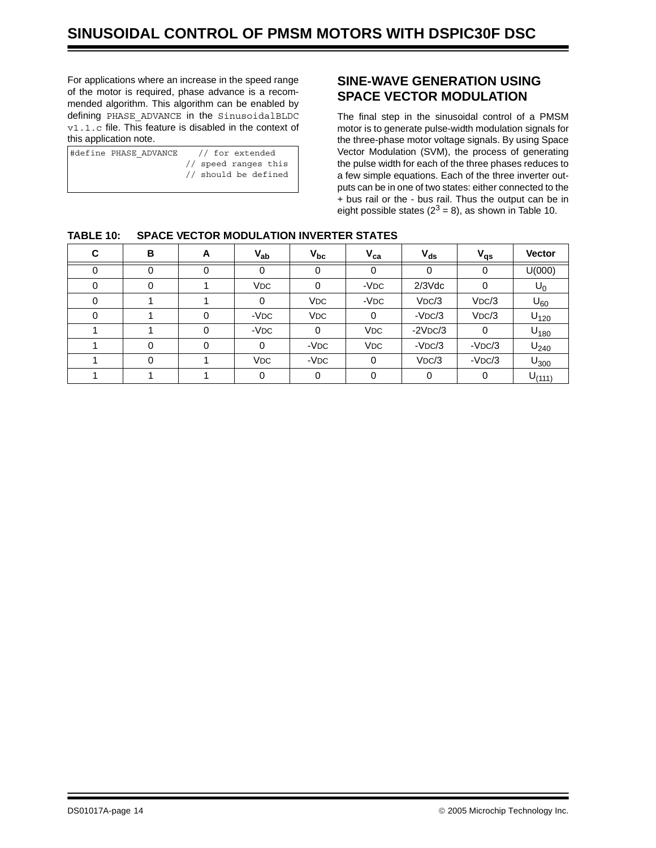For applications where an increase in the speed range of the motor is required, phase advance is a recommended algorithm. This algorithm can be enabled by defining PHASE\_ADVANCE in the SinusoidalBLDC v1.1.c file. This feature is disabled in the context of this application note.

| #define PHASE ADVANCE // for extended |                      |  |  |  |
|---------------------------------------|----------------------|--|--|--|
|                                       | // speed ranges this |  |  |  |
|                                       | // should be defined |  |  |  |

### **SINE-WAVE GENERATION USING SPACE VECTOR MODULATION**

The final step in the sinusoidal control of a PMSM motor is to generate pulse-width modulation signals for the three-phase motor voltage signals. By using Space Vector Modulation (SVM), the process of generating the pulse width for each of the three phases reduces to a few simple equations. Each of the three inverter outputs can be in one of two states: either connected to the + bus rail or the - bus rail. Thus the output can be in eight possible states ( $2^3$  = 8), as shown in [Table 10.](#page-13-0)

| C | B | A | $V_{ab}$              | $V_{bc}$         | $V_{ca}$   | $V_{ds}$  | $V_{qs}$ | <b>Vector</b>    |
|---|---|---|-----------------------|------------------|------------|-----------|----------|------------------|
|   | 0 |   |                       | Ω                | 0          | 0         |          | U(000)           |
| 0 | 0 |   | <b>VDC</b>            | 0                | $-VDC$     | $2/3$ Vdc | 0        | $U_0$            |
| 0 |   |   |                       | <b>VDC</b>       | $-VDC$     | VDC/3     | VDC/3    | $U_{60}$         |
|   |   | O | $-VDC$                | <b>VDC</b>       | $\Omega$   | $-VDC/3$  | VDC/3    | $U_{120}$        |
|   |   |   | -VDC                  | 0                | <b>VDC</b> | $-2VDC/3$ | 0        | $U_{180}$        |
|   | 0 |   | 0                     | -V <sub>DC</sub> | <b>VDC</b> | $-VDC/3$  | $-VDC/3$ | U <sub>240</sub> |
|   | 0 |   | <b>V<sub>DC</sub></b> | $-VDC$           | 0          | VDC/3     | $-VDC/3$ | $U_{300}$        |
|   |   |   |                       | 0                | 0          | 0         | 0        | $U_{(111)}$      |

### <span id="page-13-0"></span>**TABLE 10: SPACE VECTOR MODULATION INVERTER STATES**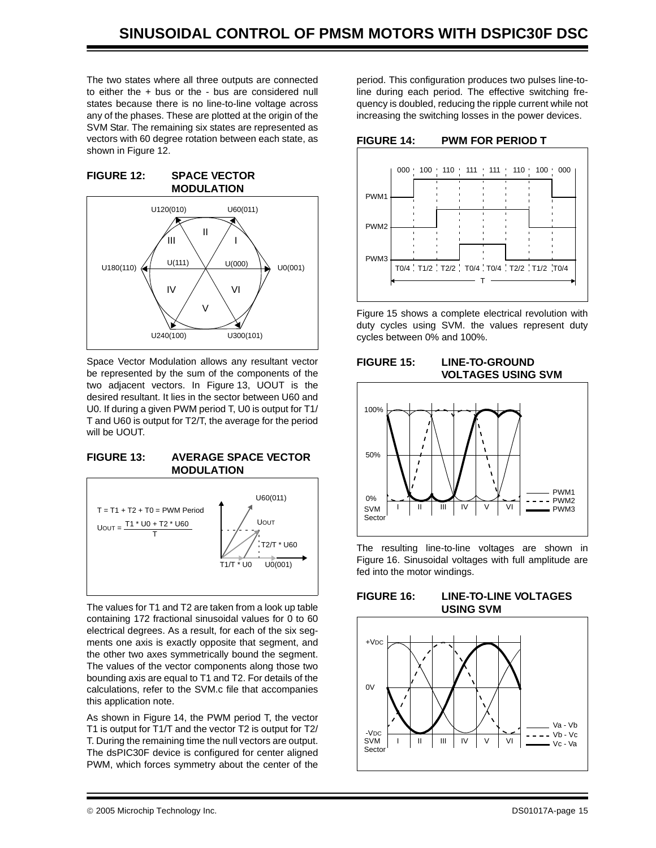The two states where all three outputs are connected to either the + bus or the - bus are considered null states because there is no line-to-line voltage across any of the phases. These are plotted at the origin of the SVM Star. The remaining six states are represented as vectors with 60 degree rotation between each state, as shown in [Figure 12.](#page-14-0)

#### <span id="page-14-0"></span>**FIGURE 12: SPACE VECTOR MODULATION**



Space Vector Modulation allows any resultant vector be represented by the sum of the components of the two adjacent vectors. In [Figure 13](#page-14-1), UOUT is the desired resultant. It lies in the sector between U60 and U0. If during a given PWM period T, U0 is output for T1/ T and U60 is output for T2/T, the average for the period will be UOUT.

### <span id="page-14-1"></span>**FIGURE 13: AVERAGE SPACE VECTOR MODULATION**



The values for T1 and T2 are taken from a look up table containing 172 fractional sinusoidal values for 0 to 60 electrical degrees. As a result, for each of the six segments one axis is exactly opposite that segment, and the other two axes symmetrically bound the segment. The values of the vector components along those two bounding axis are equal to T1 and T2. For details of the calculations, refer to the SVM.c file that accompanies this application note.

As shown in [Figure 14,](#page-14-2) the PWM period T, the vector T1 is output for T1/T and the vector T2 is output for T2/ T. During the remaining time the null vectors are output. The dsPIC30F device is configured for center aligned PWM, which forces symmetry about the center of the

period. This configuration produces two pulses line-toline during each period. The effective switching frequency is doubled, reducing the ripple current while not increasing the switching losses in the power devices.

<span id="page-14-2"></span>**FIGURE 14: PWM FOR PERIOD T**



[Figure 15](#page-14-3) shows a complete electrical revolution with duty cycles using SVM. the values represent duty cycles between 0% and 100%.

### <span id="page-14-3"></span>**FIGURE 15: LINE-TO-GROUND VOLTAGES USING SVM**



The resulting line-to-line voltages are shown in [Figure 16.](#page-14-4) Sinusoidal voltages with full amplitude are fed into the motor windings.

### <span id="page-14-4"></span>**FIGURE 16: LINE-TO-LINE VOLTAGES USING SVM**

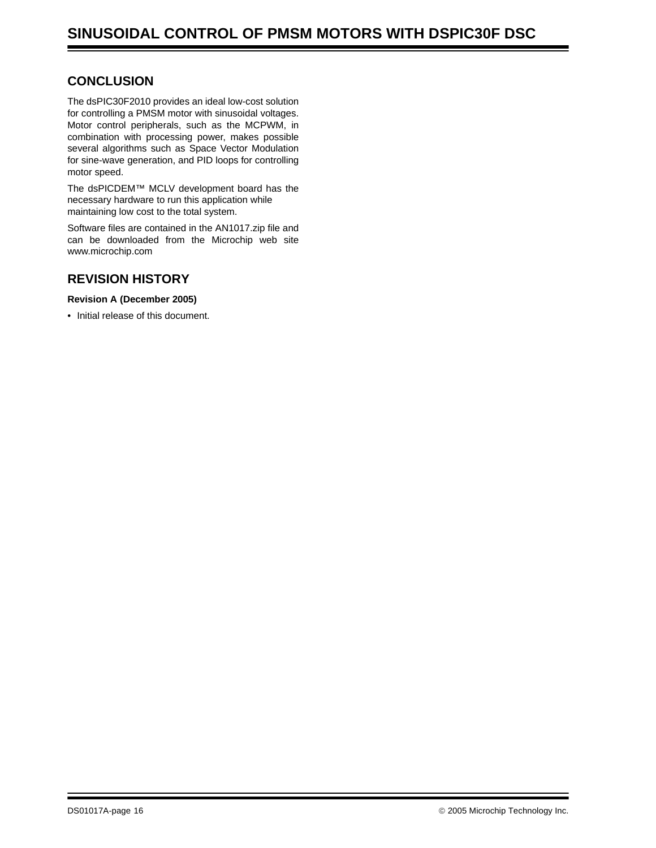### **CONCLUSION**

The dsPIC30F2010 provides an ideal low-cost solution for controlling a PMSM motor with sinusoidal voltages. Motor control peripherals, such as the MCPWM, in combination with processing power, makes possible several algorithms such as Space Vector Modulation for sine-wave generation, and PID loops for controlling motor speed.

The dsPICDEM™ MCLV development board has the necessary hardware to run this application while maintaining low cost to the total system.

Software files are contained in the AN1017.zip file and [can be downloaded from the Microchip web site](www.microchip.com) www.microchip.com

### **REVISION HISTORY**

**Revision A (December 2005)**

• Initial release of this document.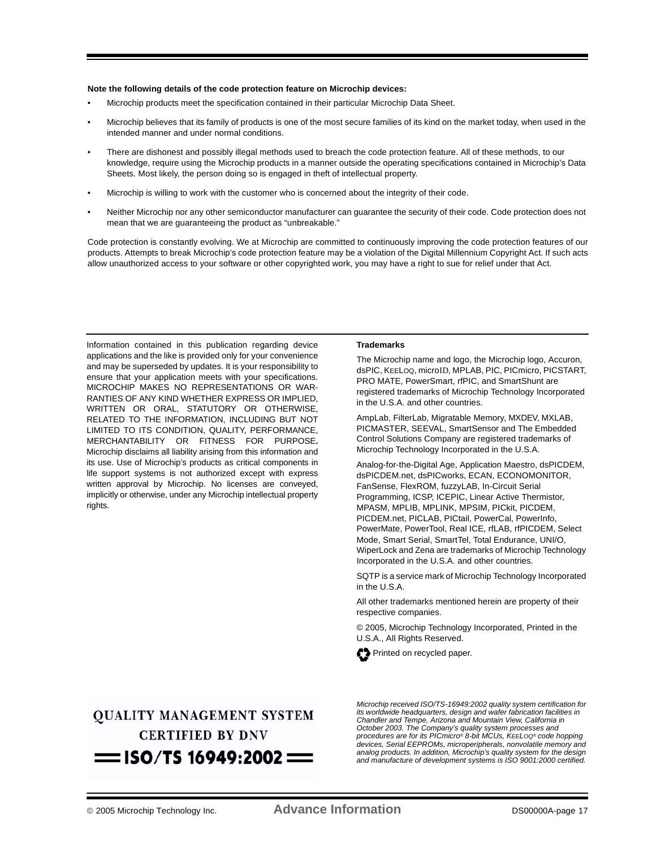#### **Note the following details of the code protection feature on Microchip devices:**

- Microchip products meet the specification contained in their particular Microchip Data Sheet.
- Microchip believes that its family of products is one of the most secure families of its kind on the market today, when used in the intended manner and under normal conditions.
- There are dishonest and possibly illegal methods used to breach the code protection feature. All of these methods, to our knowledge, require using the Microchip products in a manner outside the operating specifications contained in Microchip's Data Sheets. Most likely, the person doing so is engaged in theft of intellectual property.
- Microchip is willing to work with the customer who is concerned about the integrity of their code.
- Neither Microchip nor any other semiconductor manufacturer can guarantee the security of their code. Code protection does not mean that we are guaranteeing the product as "unbreakable."

Code protection is constantly evolving. We at Microchip are committed to continuously improving the code protection features of our products. Attempts to break Microchip's code protection feature may be a violation of the Digital Millennium Copyright Act. If such acts allow unauthorized access to your software or other copyrighted work, you may have a right to sue for relief under that Act.

Information contained in this publication regarding device applications and the like is provided only for your convenience and may be superseded by updates. It is your responsibility to ensure that your application meets with your specifications. MICROCHIP MAKES NO REPRESENTATIONS OR WAR-RANTIES OF ANY KIND WHETHER EXPRESS OR IMPLIED, WRITTEN OR ORAL, STATUTORY OR OTHERWISE, RELATED TO THE INFORMATION, INCLUDING BUT NOT LIMITED TO ITS CONDITION, QUALITY, PERFORMANCE, MERCHANTABILITY OR FITNESS FOR PURPOSE**.** Microchip disclaims all liability arising from this information and its use. Use of Microchip's products as critical components in life support systems is not authorized except with express written approval by Microchip. No licenses are conveyed, implicitly or otherwise, under any Microchip intellectual property rights.

#### **Trademarks**

The Microchip name and logo, the Microchip logo, Accuron, dsPIC, KEELOQ, microID, MPLAB, PIC, PICmicro, PICSTART, PRO MATE, PowerSmart, rfPIC, and SmartShunt are registered trademarks of Microchip Technology Incorporated in the U.S.A. and other countries.

AmpLab, FilterLab, Migratable Memory, MXDEV, MXLAB, PICMASTER, SEEVAL, SmartSensor and The Embedded Control Solutions Company are registered trademarks of Microchip Technology Incorporated in the U.S.A.

Analog-for-the-Digital Age, Application Maestro, dsPICDEM, dsPICDEM.net, dsPICworks, ECAN, ECONOMONITOR, FanSense, FlexROM, fuzzyLAB, In-Circuit Serial Programming, ICSP, ICEPIC, Linear Active Thermistor, MPASM, MPLIB, MPLINK, MPSIM, PICkit, PICDEM, PICDEM.net, PICLAB, PICtail, PowerCal, PowerInfo, PowerMate, PowerTool, Real ICE, rfLAB, rfPICDEM, Select Mode, Smart Serial, SmartTel, Total Endurance, UNI/O, WiperLock and Zena are trademarks of Microchip Technology Incorporated in the U.S.A. and other countries.

SQTP is a service mark of Microchip Technology Incorporated in the  $II S A$ 

All other trademarks mentioned herein are property of their respective companies.

© 2005, Microchip Technology Incorporated, Printed in the U.S.A., All Rights Reserved.



### **OUALITY MANAGEMENT SYSTEM CERTIFIED BY DNV**  $=$  ISO/TS 16949:2002  $=$

*Microchip received ISO/TS-16949:2002 quality system certification for its worldwide headquarters, design and wafer fabrication facilities in Chandler and Tempe, Arizona and Mountain View, California in October 2003. The Company's quality system processes and procedures are for its PICmicro® 8-bit MCUs, KEELOQ® code hopping devices, Serial EEPROMs, microperipherals, nonvolatile memory and analog products. In addition, Microchip's quality system for the design and manufacture of development systems is ISO 9001:2000 certified.*